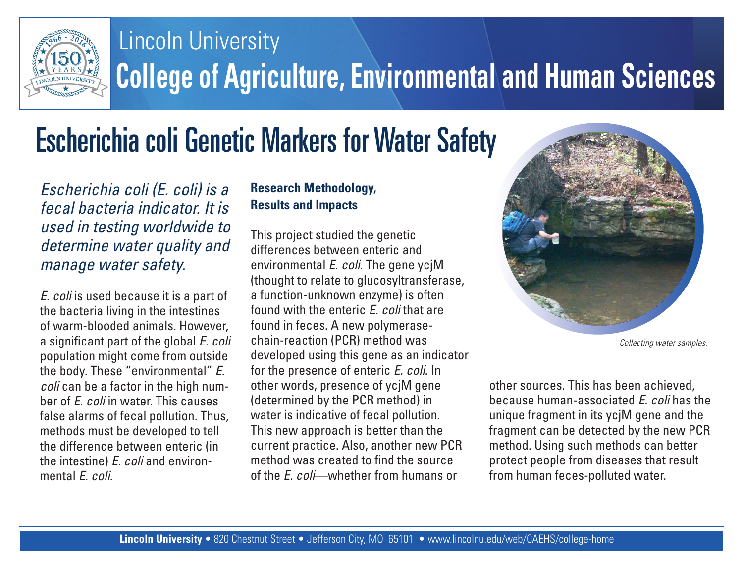

## **College of Agriculture, Environmental and Human Sciences** Lincoln University

# Escherichia coli Genetic Markers for Water Safety

*Escherichia coli (E. coli) is a fecal bacteria indicator. It is used in testing worldwide to determine water quality and manage water safety.* 

*E. coli* is used because it is a part of the bacteria living in the intestines of warm-blooded animals. However, a significant part of the global *E. coli* population might come from outside the body. These "environmental" *E. coli* can be a factor in the high number of *E. coli* in water. This causes false alarms of fecal pollution. Thus, methods must be developed to tell the difference between enteric (in the intestine) *E. coli* and environmental *E. coli*.

#### **Research Methodology, Results and Impacts**

This project studied the genetic differences between enteric and environmental *E. coli*. The gene ycjM (thought to relate to glucosyltransferase, a function-unknown enzyme) is often found with the enteric *E. coli* that are found in feces. A new polymerasechain-reaction (PCR) method was developed using this gene as an indicator for the presence of enteric *E. coli*. In other words, presence of ycjM gene (determined by the PCR method) in water is indicative of fecal pollution. This new approach is better than the current practice. Also, another new PCR method was created to find the source of the *E. coli*—whether from humans or



*Collecting water samples.*

other sources. This has been achieved, because human-associated *E. coli* has the unique fragment in its ycjM gene and the fragment can be detected by the new PCR method. Using such methods can better protect people from diseases that result from human feces-polluted water.